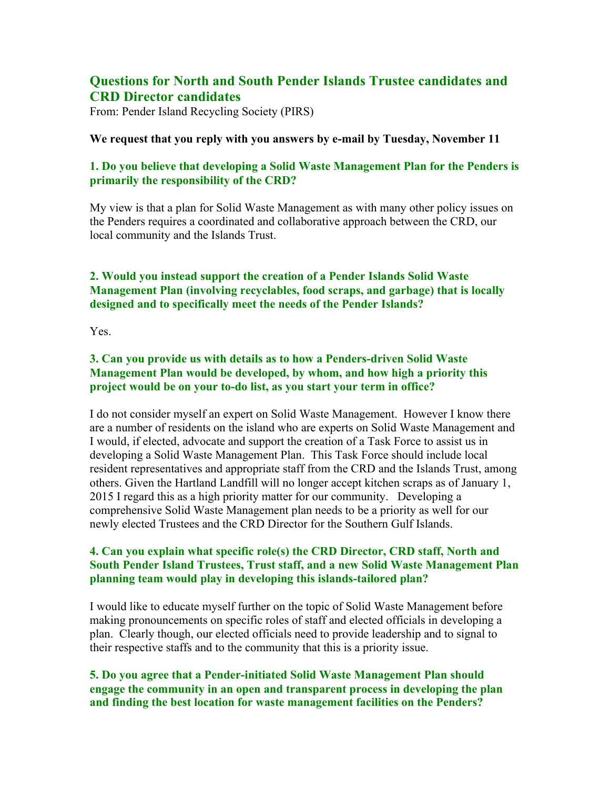# **Questions for North and South Pender Islands Trustee candidates and CRD Director candidates**

From: Pender Island Recycling Society (PIRS)

#### **We request that you reply with you answers by e-mail by Tuesday, November 11**

## **1. Do you believe that developing a Solid Waste Management Plan for the Penders is primarily the responsibility of the CRD?**

My view is that a plan for Solid Waste Management as with many other policy issues on the Penders requires a coordinated and collaborative approach between the CRD, our local community and the Islands Trust.

# **2. Would you instead support the creation of a Pender Islands Solid Waste Management Plan (involving recyclables, food scraps, and garbage) that is locally designed and to specifically meet the needs of the Pender Islands?**

Yes.

## **3. Can you provide us with details as to how a Penders-driven Solid Waste Management Plan would be developed, by whom, and how high a priority this project would be on your to-do list, as you start your term in office?**

I do not consider myself an expert on Solid Waste Management. However I know there are a number of residents on the island who are experts on Solid Waste Management and I would, if elected, advocate and support the creation of a Task Force to assist us in developing a Solid Waste Management Plan. This Task Force should include local resident representatives and appropriate staff from the CRD and the Islands Trust, among others. Given the Hartland Landfill will no longer accept kitchen scraps as of January 1, 2015 I regard this as a high priority matter for our community. Developing a comprehensive Solid Waste Management plan needs to be a priority as well for our newly elected Trustees and the CRD Director for the Southern Gulf Islands.

## **4. Can you explain what specific role(s) the CRD Director, CRD staff, North and South Pender Island Trustees, Trust staff, and a new Solid Waste Management Plan planning team would play in developing this islands-tailored plan?**

I would like to educate myself further on the topic of Solid Waste Management before making pronouncements on specific roles of staff and elected officials in developing a plan. Clearly though, our elected officials need to provide leadership and to signal to their respective staffs and to the community that this is a priority issue.

## **5. Do you agree that a Pender-initiated Solid Waste Management Plan should engage the community in an open and transparent process in developing the plan and finding the best location for waste management facilities on the Penders?**